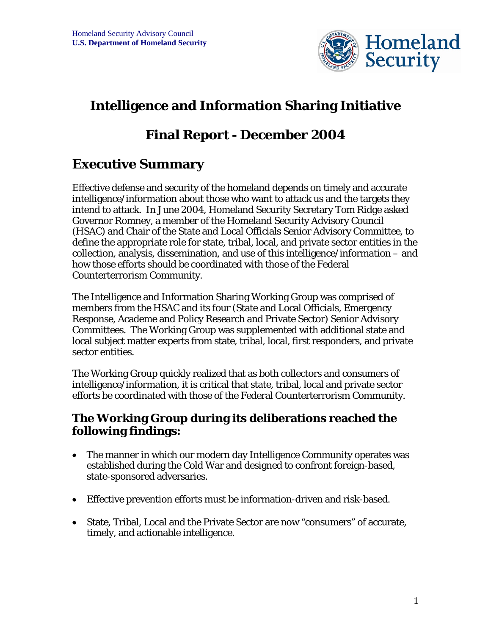

# **Intelligence and Information Sharing Initiative**

## **Final Report - December 2004**

## **Executive Summary**

Effective defense and security of the homeland depends on timely and accurate intelligence/information about those who want to attack us and the targets they intend to attack. In June 2004, Homeland Security Secretary Tom Ridge asked Governor Romney, a member of the Homeland Security Advisory Council (HSAC) and Chair of the State and Local Officials Senior Advisory Committee, to define the appropriate role for state, tribal, local, and private sector entities in the collection, analysis, dissemination, and use of this intelligence/information – and how those efforts should be coordinated with those of the Federal Counterterrorism Community.

The Intelligence and Information Sharing Working Group was comprised of members from the HSAC and its four (State and Local Officials, Emergency Response, Academe and Policy Research and Private Sector) Senior Advisory Committees. The Working Group was supplemented with additional state and local subject matter experts from state, tribal, local, first responders, and private sector entities.

The Working Group quickly realized that as both collectors and consumers of intelligence/information, it is critical that state, tribal, local and private sector efforts be coordinated with those of the Federal Counterterrorism Community.

### **The Working Group during its deliberations reached the following findings:**

- The manner in which our modern day Intelligence Community operates was established during the Cold War and designed to confront foreign-based, state-sponsored adversaries.
- Effective prevention efforts must be information-driven and risk-based.
- State, Tribal, Local and the Private Sector are now "consumers" of accurate, timely, and actionable intelligence.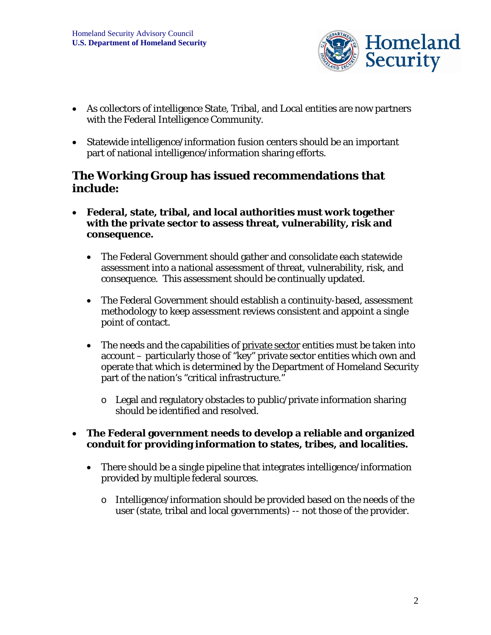

- As collectors of intelligence State, Tribal, and Local entities are now partners with the Federal Intelligence Community.
- Statewide intelligence/information fusion centers should be an important part of national intelligence/information sharing efforts.

### **The Working Group has issued recommendations that include:**

- **Federal, state, tribal, and local authorities must work together with the private sector to assess threat, vulnerability, risk and consequence.** 
	- The Federal Government should gather and consolidate each statewide assessment into a national assessment of threat, vulnerability, risk, and consequence. This assessment should be continually updated.
	- The Federal Government should establish a continuity-based, assessment methodology to keep assessment reviews consistent and appoint a single point of contact.
	- The needs and the capabilities of private sector entities must be taken into account – particularly those of "key" private sector entities which own and operate that which is determined by the Department of Homeland Security part of the nation's "critical infrastructure."
		- o Legal and regulatory obstacles to public/private information sharing should be identified and resolved.

#### • **The Federal government needs to develop a reliable and organized conduit for providing information to states, tribes, and localities.**

- There should be a single pipeline that integrates intelligence/information provided by multiple federal sources.
	- o Intelligence/information should be provided based on the needs of the user (state, tribal and local governments) -- not those of the provider.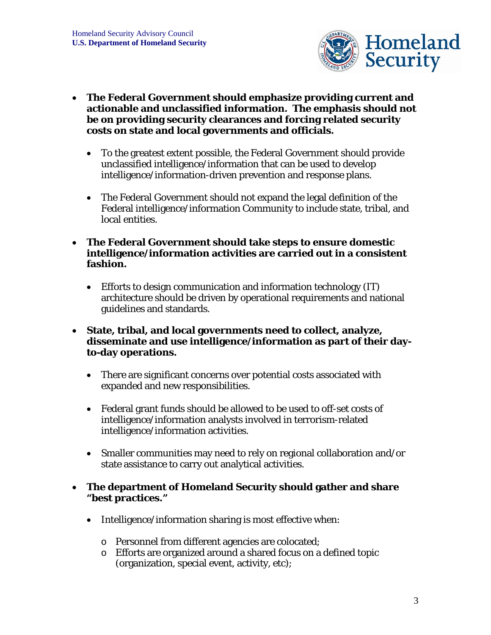

- **The Federal Government should emphasize providing current and actionable and unclassified information. The emphasis should not be on providing security clearances and forcing related security costs on state and local governments and officials.** 
	- To the greatest extent possible, the Federal Government should provide unclassified intelligence/information that can be used to develop intelligence/information-driven prevention and response plans.
	- The Federal Government should not expand the legal definition of the Federal intelligence/information Community to include state, tribal, and local entities.
- **The Federal Government should take steps to ensure domestic intelligence/information activities are carried out in a consistent fashion.** 
	- Efforts to design communication and information technology (IT) architecture should be driven by operational requirements and national guidelines and standards.
- **State, tribal, and local governments need to collect, analyze, disseminate and use intelligence/information as part of their dayto-day operations.** 
	- There are significant concerns over potential costs associated with expanded and new responsibilities.
	- Federal grant funds should be allowed to be used to off-set costs of intelligence/information analysts involved in terrorism-related intelligence/information activities.
	- Smaller communities may need to rely on regional collaboration and/or state assistance to carry out analytical activities.

#### • **The department of Homeland Security should gather and share "best practices."**

- Intelligence/information sharing is most effective when:
	- o Personnel from different agencies are colocated;
	- o Efforts are organized around a shared focus on a defined topic (organization, special event, activity, etc);